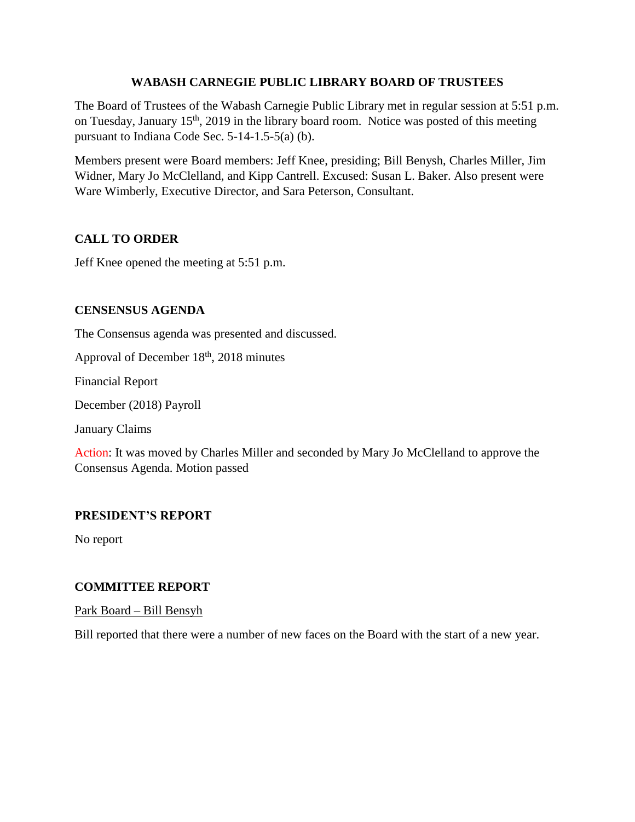### **WABASH CARNEGIE PUBLIC LIBRARY BOARD OF TRUSTEES**

The Board of Trustees of the Wabash Carnegie Public Library met in regular session at 5:51 p.m. on Tuesday, January 15<sup>th</sup>, 2019 in the library board room. Notice was posted of this meeting pursuant to Indiana Code Sec. 5-14-1.5-5(a) (b).

Members present were Board members: Jeff Knee, presiding; Bill Benysh, Charles Miller, Jim Widner, Mary Jo McClelland, and Kipp Cantrell. Excused: Susan L. Baker. Also present were Ware Wimberly, Executive Director, and Sara Peterson, Consultant.

# **CALL TO ORDER**

Jeff Knee opened the meeting at 5:51 p.m.

# **CENSENSUS AGENDA**

The Consensus agenda was presented and discussed.

Approval of December  $18<sup>th</sup>$ , 2018 minutes

Financial Report

December (2018) Payroll

January Claims

Action: It was moved by Charles Miller and seconded by Mary Jo McClelland to approve the Consensus Agenda. Motion passed

# **PRESIDENT'S REPORT**

No report

#### **COMMITTEE REPORT**

Park Board – Bill Bensyh

Bill reported that there were a number of new faces on the Board with the start of a new year.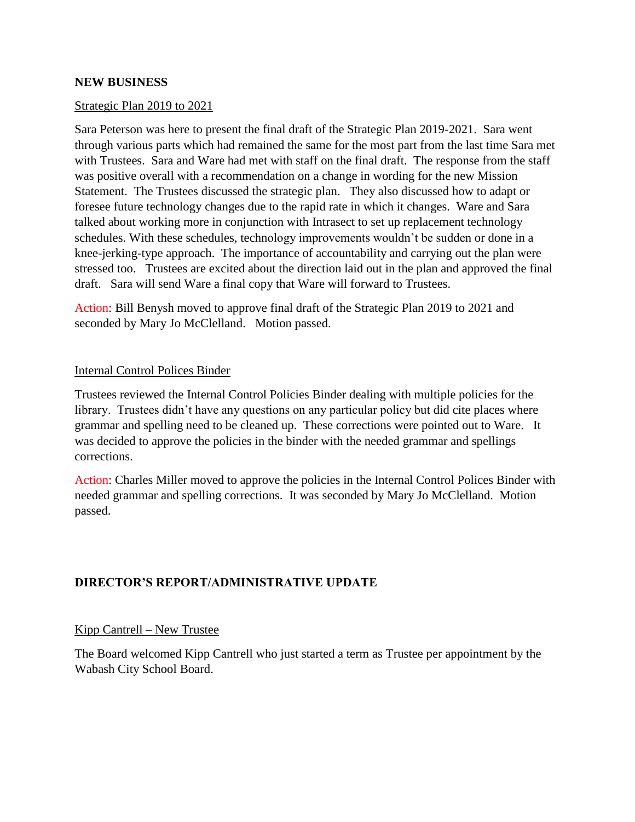#### **NEW BUSINESS**

#### Strategic Plan 2019 to 2021

Sara Peterson was here to present the final draft of the Strategic Plan 2019-2021. Sara went through various parts which had remained the same for the most part from the last time Sara met with Trustees. Sara and Ware had met with staff on the final draft. The response from the staff was positive overall with a recommendation on a change in wording for the new Mission Statement. The Trustees discussed the strategic plan. They also discussed how to adapt or foresee future technology changes due to the rapid rate in which it changes. Ware and Sara talked about working more in conjunction with Intrasect to set up replacement technology schedules. With these schedules, technology improvements wouldn't be sudden or done in a knee-jerking-type approach. The importance of accountability and carrying out the plan were stressed too. Trustees are excited about the direction laid out in the plan and approved the final draft. Sara will send Ware a final copy that Ware will forward to Trustees.

Action: Bill Benysh moved to approve final draft of the Strategic Plan 2019 to 2021 and seconded by Mary Jo McClelland. Motion passed.

#### Internal Control Polices Binder

Trustees reviewed the Internal Control Policies Binder dealing with multiple policies for the library. Trustees didn't have any questions on any particular policy but did cite places where grammar and spelling need to be cleaned up. These corrections were pointed out to Ware. It was decided to approve the policies in the binder with the needed grammar and spellings corrections.

Action: Charles Miller moved to approve the policies in the Internal Control Polices Binder with needed grammar and spelling corrections. It was seconded by Mary Jo McClelland. Motion passed.

#### **DIRECTOR'S REPORT/ADMINISTRATIVE UPDATE**

#### Kipp Cantrell – New Trustee

The Board welcomed Kipp Cantrell who just started a term as Trustee per appointment by the Wabash City School Board.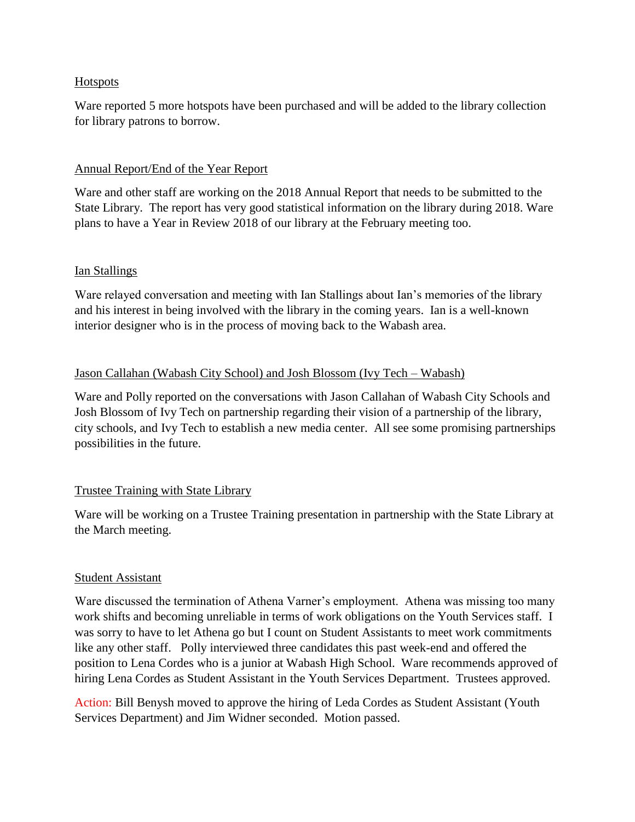#### **Hotspots**

Ware reported 5 more hotspots have been purchased and will be added to the library collection for library patrons to borrow.

### Annual Report/End of the Year Report

Ware and other staff are working on the 2018 Annual Report that needs to be submitted to the State Library. The report has very good statistical information on the library during 2018. Ware plans to have a Year in Review 2018 of our library at the February meeting too.

### Ian Stallings

Ware relayed conversation and meeting with Ian Stallings about Ian's memories of the library and his interest in being involved with the library in the coming years. Ian is a well-known interior designer who is in the process of moving back to the Wabash area.

### Jason Callahan (Wabash City School) and Josh Blossom (Ivy Tech – Wabash)

Ware and Polly reported on the conversations with Jason Callahan of Wabash City Schools and Josh Blossom of Ivy Tech on partnership regarding their vision of a partnership of the library, city schools, and Ivy Tech to establish a new media center. All see some promising partnerships possibilities in the future.

# Trustee Training with State Library

Ware will be working on a Trustee Training presentation in partnership with the State Library at the March meeting.

# **Student Assistant**

Ware discussed the termination of Athena Varner's employment. Athena was missing too many work shifts and becoming unreliable in terms of work obligations on the Youth Services staff. I was sorry to have to let Athena go but I count on Student Assistants to meet work commitments like any other staff. Polly interviewed three candidates this past week-end and offered the position to Lena Cordes who is a junior at Wabash High School. Ware recommends approved of hiring Lena Cordes as Student Assistant in the Youth Services Department. Trustees approved.

Action: Bill Benysh moved to approve the hiring of Leda Cordes as Student Assistant (Youth Services Department) and Jim Widner seconded. Motion passed.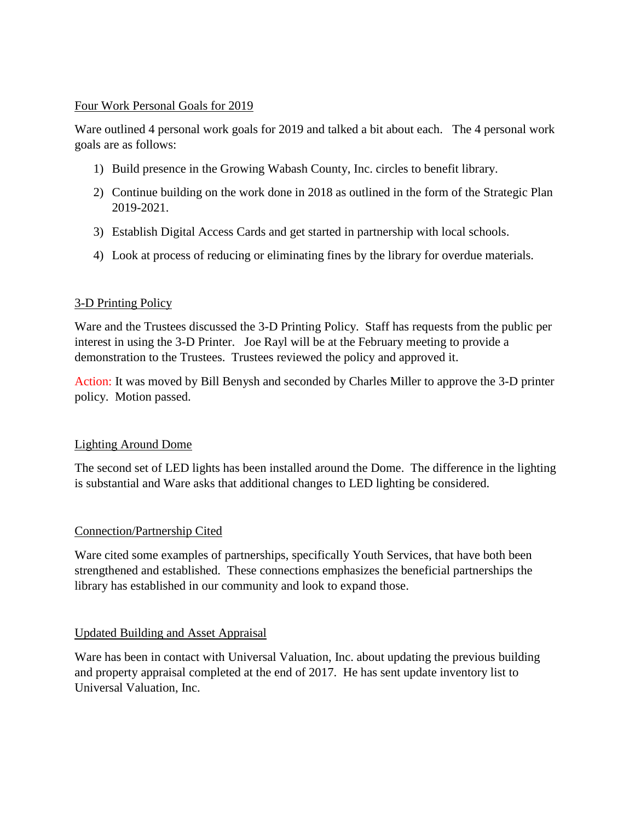#### Four Work Personal Goals for 2019

Ware outlined 4 personal work goals for 2019 and talked a bit about each. The 4 personal work goals are as follows:

- 1) Build presence in the Growing Wabash County, Inc. circles to benefit library.
- 2) Continue building on the work done in 2018 as outlined in the form of the Strategic Plan 2019-2021.
- 3) Establish Digital Access Cards and get started in partnership with local schools.
- 4) Look at process of reducing or eliminating fines by the library for overdue materials.

# 3-D Printing Policy

Ware and the Trustees discussed the 3-D Printing Policy. Staff has requests from the public per interest in using the 3-D Printer. Joe Rayl will be at the February meeting to provide a demonstration to the Trustees. Trustees reviewed the policy and approved it.

Action: It was moved by Bill Benysh and seconded by Charles Miller to approve the 3-D printer policy. Motion passed.

# Lighting Around Dome

The second set of LED lights has been installed around the Dome. The difference in the lighting is substantial and Ware asks that additional changes to LED lighting be considered.

# Connection/Partnership Cited

Ware cited some examples of partnerships, specifically Youth Services, that have both been strengthened and established. These connections emphasizes the beneficial partnerships the library has established in our community and look to expand those.

# Updated Building and Asset Appraisal

Ware has been in contact with Universal Valuation, Inc. about updating the previous building and property appraisal completed at the end of 2017. He has sent update inventory list to Universal Valuation, Inc.